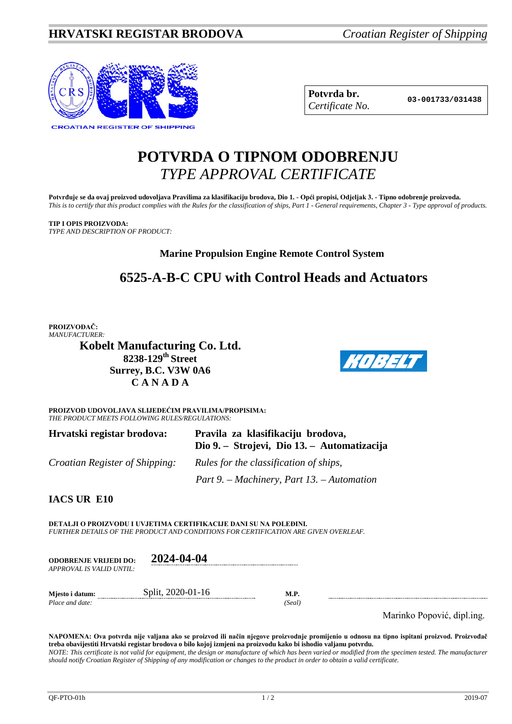

| Potvrda br.     |
|-----------------|
| Certificate No. |

**Potvrda br. 03-001733/031438** *Certificate No.*

# **POTVRDA O TIPNOM ODOBRENJU** *TYPE APPROVAL CERTIFICATE*

**Potvrđuje se da ovaj proizvod udovoljava Pravilima za klasifikaciju brodova, Dio 1. - Opći propisi, Odjeljak 3. - Tipno odobrenje proizvoda.** *This is to certify that this product complies with the Rules for the classification of ships, Part 1 - General requirements, Chapter 3 - Type approval of products.*

**TIP I OPIS PROIZVODA:** *TYPE AND DESCRIPTION OF PRODUCT:*

# **Marine Propulsion Engine Remote Control System**

# **6525-A-B-C CPU with Control Heads and Actuators**

**PROIZVOĐAČ:** *MANUFACTURER:*

**Kobelt Manufacturing Co. Ltd. 8238-129th Street Surrey, B.C. V3W 0A6 C A N A D A**



**PROIZVOD UDOVOLJAVA SLIJEDEĆIM PRAVILIMA/PROPISIMA:** *THE PRODUCT MEETS FOLLOWING RULES/REGULATIONS:*

| Hrvatski registar brodova:            | Pravila za klasifikaciju brodova,<br>Dio 9. – Strojevi, Dio 13. – Automatizacija |
|---------------------------------------|----------------------------------------------------------------------------------|
| <i>Croatian Register of Shipping:</i> | Rules for the classification of ships,                                           |
|                                       | Part 9. – Machinery, Part 13. – Automation                                       |

**IACS UR E10**

**DETALJI O PROIZVODU I UVJETIMA CERTIFIKACIJE DANI SU NA POLEĐINI.** *FURTHER DETAILS OF THE PRODUCT AND CONDITIONS FOR CERTIFICATION ARE GIVEN OVERLEAF.*

| <b>ODOBRENJE VRIJEDI DO:</b><br>APPROVAL IS VALID UNTIL: | 2024-04-04        |                |
|----------------------------------------------------------|-------------------|----------------|
| Miesto i datum:<br>Place and date:                       | Split, 2020-01-16 | M.P.<br>(Seal) |

Marinko Popović, dipl.ing.

**NAPOMENA: Ova potvrda nije valjana ako se proizvod ili način njegove proizvodnje promijenio u odnosu na tipno ispitani proizvod. Proizvođač treba obavijestiti Hrvatski registar brodova o bilo kojoj izmjeni na proizvodu kako bi ishodio valjanu potvrdu.** *NOTE: This certificate is not valid for equipment, the design or manufacture of which has been varied or modified from the specimen tested. The manufacturer should notify Croatian Register of Shipping of any modification or changes to the product in order to obtain a valid certificate.*